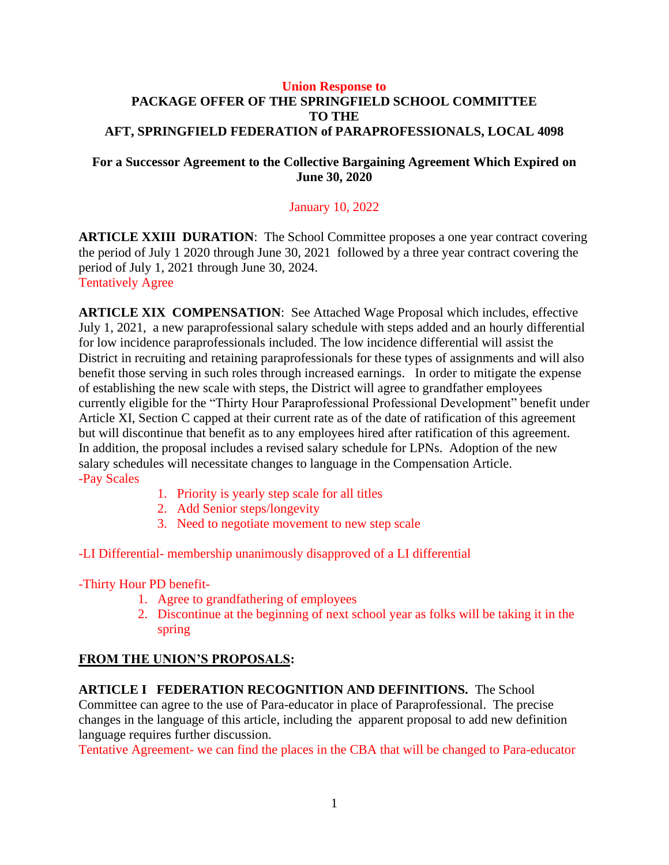#### **Union Response to PACKAGE OFFER OF THE SPRINGFIELD SCHOOL COMMITTEE TO THE AFT, SPRINGFIELD FEDERATION of PARAPROFESSIONALS, LOCAL 4098**

#### **For a Successor Agreement to the Collective Bargaining Agreement Which Expired on June 30, 2020**

#### January 10, 2022

**ARTICLE XXIII DURATION**: The School Committee proposes a one year contract covering the period of July 1 2020 through June 30, 2021 followed by a three year contract covering the period of July 1, 2021 through June 30, 2024. Tentatively Agree

**ARTICLE XIX COMPENSATION**: See Attached Wage Proposal which includes, effective July 1, 2021, a new paraprofessional salary schedule with steps added and an hourly differential for low incidence paraprofessionals included. The low incidence differential will assist the District in recruiting and retaining paraprofessionals for these types of assignments and will also benefit those serving in such roles through increased earnings. In order to mitigate the expense of establishing the new scale with steps, the District will agree to grandfather employees currently eligible for the "Thirty Hour Paraprofessional Professional Development" benefit under Article XI, Section C capped at their current rate as of the date of ratification of this agreement but will discontinue that benefit as to any employees hired after ratification of this agreement. In addition, the proposal includes a revised salary schedule for LPNs. Adoption of the new salary schedules will necessitate changes to language in the Compensation Article. -Pay Scales

- 1. Priority is yearly step scale for all titles
- 2. Add Senior steps/longevity
- 3. Need to negotiate movement to new step scale

-LI Differential- membership unanimously disapproved of a LI differential

-Thirty Hour PD benefit-

- 1. Agree to grandfathering of employees
- 2. Discontinue at the beginning of next school year as folks will be taking it in the spring

## **FROM THE UNION'S PROPOSALS:**

**ARTICLE I FEDERATION RECOGNITION AND DEFINITIONS.** The School Committee can agree to the use of Para-educator in place of Paraprofessional. The precise changes in the language of this article, including the apparent proposal to add new definition language requires further discussion.

Tentative Agreement- we can find the places in the CBA that will be changed to Para-educator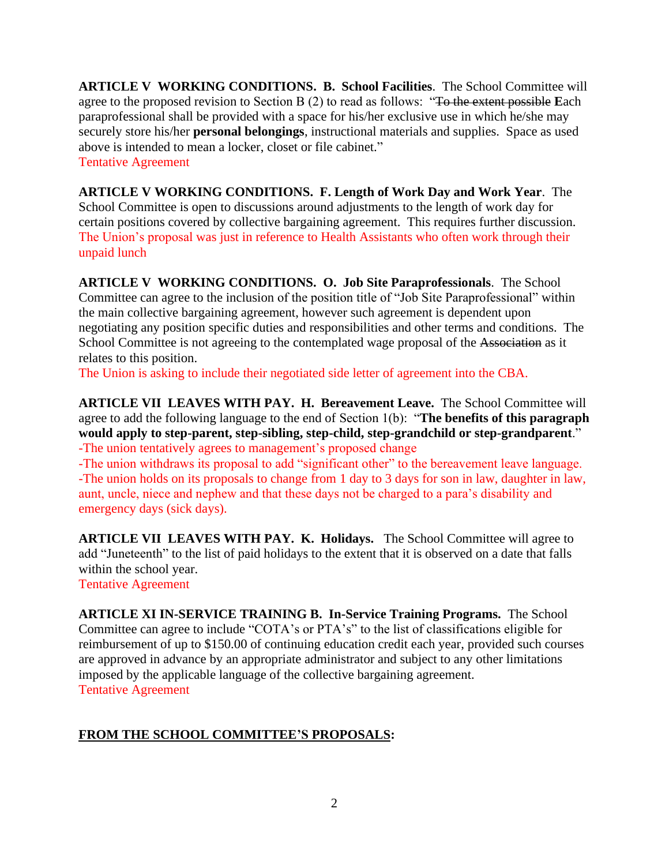**ARTICLE V WORKING CONDITIONS. B. School Facilities**. The School Committee will agree to the proposed revision to Section B (2) to read as follows: "To the extent possible **E**ach paraprofessional shall be provided with a space for his/her exclusive use in which he/she may securely store his/her **personal belongings**, instructional materials and supplies. Space as used above is intended to mean a locker, closet or file cabinet." Tentative Agreement

**ARTICLE V WORKING CONDITIONS. F. Length of Work Day and Work Year**. The School Committee is open to discussions around adjustments to the length of work day for certain positions covered by collective bargaining agreement. This requires further discussion. The Union's proposal was just in reference to Health Assistants who often work through their unpaid lunch

**ARTICLE V WORKING CONDITIONS. O. Job Site Paraprofessionals**. The School Committee can agree to the inclusion of the position title of "Job Site Paraprofessional" within the main collective bargaining agreement, however such agreement is dependent upon negotiating any position specific duties and responsibilities and other terms and conditions. The School Committee is not agreeing to the contemplated wage proposal of the Association as it relates to this position.

The Union is asking to include their negotiated side letter of agreement into the CBA.

**ARTICLE VII LEAVES WITH PAY. H. Bereavement Leave.** The School Committee will agree to add the following language to the end of Section 1(b): "**The benefits of this paragraph would apply to step-parent, step-sibling, step-child, step-grandchild or step-grandparent**." -The union tentatively agrees to management's proposed change

-The union withdraws its proposal to add "significant other" to the bereavement leave language.

-The union holds on its proposals to change from 1 day to 3 days for son in law, daughter in law, aunt, uncle, niece and nephew and that these days not be charged to a para's disability and emergency days (sick days).

**ARTICLE VII LEAVES WITH PAY. K. Holidays.** The School Committee will agree to add "Juneteenth" to the list of paid holidays to the extent that it is observed on a date that falls within the school year.

Tentative Agreement

**ARTICLE XI IN-SERVICE TRAINING B. In-Service Training Programs.** The School Committee can agree to include "COTA's or PTA's" to the list of classifications eligible for reimbursement of up to \$150.00 of continuing education credit each year, provided such courses are approved in advance by an appropriate administrator and subject to any other limitations imposed by the applicable language of the collective bargaining agreement. Tentative Agreement

# **FROM THE SCHOOL COMMITTEE'S PROPOSALS:**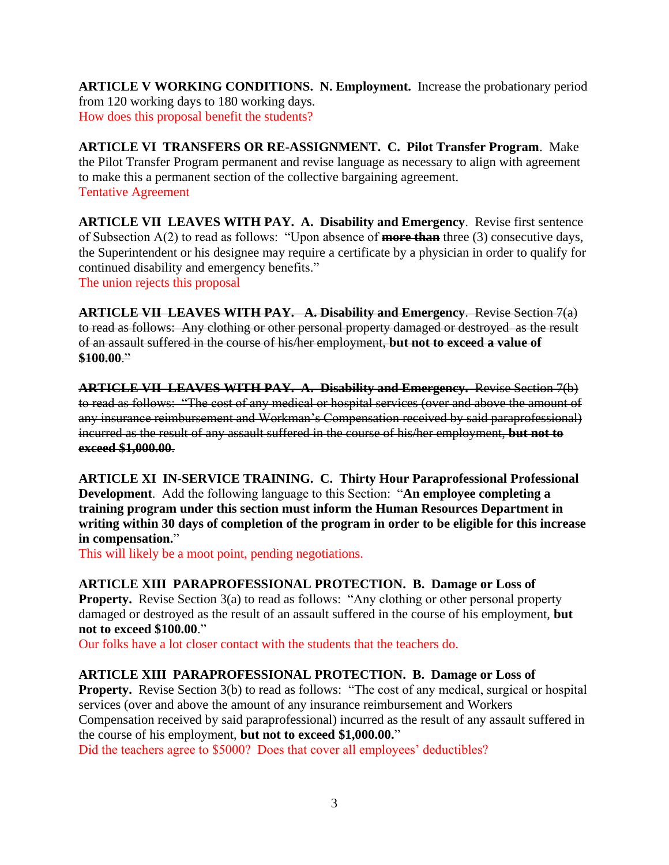**ARTICLE V WORKING CONDITIONS. N. Employment.** Increase the probationary period from 120 working days to 180 working days. How does this proposal benefit the students?

**ARTICLE VI TRANSFERS OR RE-ASSIGNMENT. C. Pilot Transfer Program**. Make the Pilot Transfer Program permanent and revise language as necessary to align with agreement to make this a permanent section of the collective bargaining agreement. Tentative Agreement

**ARTICLE VII LEAVES WITH PAY. A. Disability and Emergency**. Revise first sentence of Subsection A(2) to read as follows: "Upon absence of **more than** three (3) consecutive days, the Superintendent or his designee may require a certificate by a physician in order to qualify for continued disability and emergency benefits." The union rejects this proposal

**ARTICLE VII LEAVES WITH PAY. A. Disability and Emergency**. Revise Section 7(a) to read as follows: Any clothing or other personal property damaged or destroyed as the result of an assault suffered in the course of his/her employment, **but not to exceed a value of \$100.00**."

**ARTICLE VII LEAVES WITH PAY. A. Disability and Emergency.** Revise Section 7(b) to read as follows: "The cost of any medical or hospital services (over and above the amount of any insurance reimbursement and Workman's Compensation received by said paraprofessional) incurred as the result of any assault suffered in the course of his/her employment, **but not to exceed \$1,000.00**.

**ARTICLE XI IN-SERVICE TRAINING. C. Thirty Hour Paraprofessional Professional Development**. Add the following language to this Section: "**An employee completing a training program under this section must inform the Human Resources Department in writing within 30 days of completion of the program in order to be eligible for this increase in compensation.**"

This will likely be a moot point, pending negotiations.

**ARTICLE XIII PARAPROFESSIONAL PROTECTION. B. Damage or Loss of** 

**Property.** Revise Section 3(a) to read as follows: "Any clothing or other personal property damaged or destroyed as the result of an assault suffered in the course of his employment, **but not to exceed \$100.00**."

Our folks have a lot closer contact with the students that the teachers do.

## **ARTICLE XIII PARAPROFESSIONAL PROTECTION. B. Damage or Loss of**

**Property.** Revise Section 3(b) to read as follows: "The cost of any medical, surgical or hospital services (over and above the amount of any insurance reimbursement and Workers Compensation received by said paraprofessional) incurred as the result of any assault suffered in the course of his employment, **but not to exceed \$1,000.00.**"

Did the teachers agree to \$5000? Does that cover all employees' deductibles?